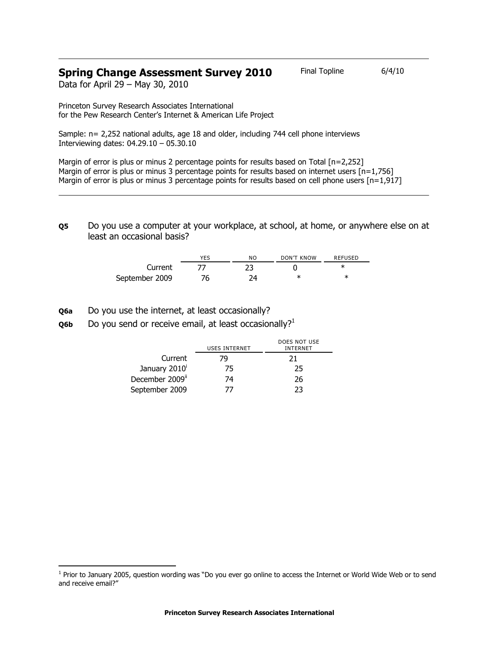# **Spring Change Assessment Survey 2010** Final Topline 6/4/10

Data for April 29 – May 30, 2010

Princeton Survey Research Associates International for the Pew Research Center's Internet & American Life Project

Sample: n= 2,252 national adults, age 18 and older, including 744 cell phone interviews Interviewing dates: 04.29.10 – 05.30.10

Margin of error is plus or minus 2 percentage points for results based on Total [n=2,252] Margin of error is plus or minus 3 percentage points for results based on internet users [n=1,756] Margin of error is plus or minus 3 percentage points for results based on cell phone users [n=1,917]

**Q5** Do you use a computer at your workplace, at school, at home, or anywhere else on at least an occasional basis?

|                | <b>YES</b> | NO. | DON'T KNOW | REFUSED |
|----------------|------------|-----|------------|---------|
| Current        |            |     |            |         |
| September 2009 | 76         | ว⊿  | ж          | ж       |

**Q6a** Do you use the internet, at least occasionally?

 $\overline{a}$ 

**Q6b** Do you send or receive email, at least occasionally?<sup>1</sup>

|                             | <b>USES INTERNET</b> | DOES NOT USE<br><b>INTERNET</b> |
|-----------------------------|----------------------|---------------------------------|
| Current                     | 79                   | 21                              |
| January 2010 <sup>i</sup>   | 75                   | 25                              |
| December 2009 <sup>ii</sup> | 74                   | 26                              |
| September 2009              | 77                   | 23                              |

<sup>&</sup>lt;sup>1</sup> Prior to January 2005, question wording was "Do you ever go online to access the Internet or World Wide Web or to send and receive email?"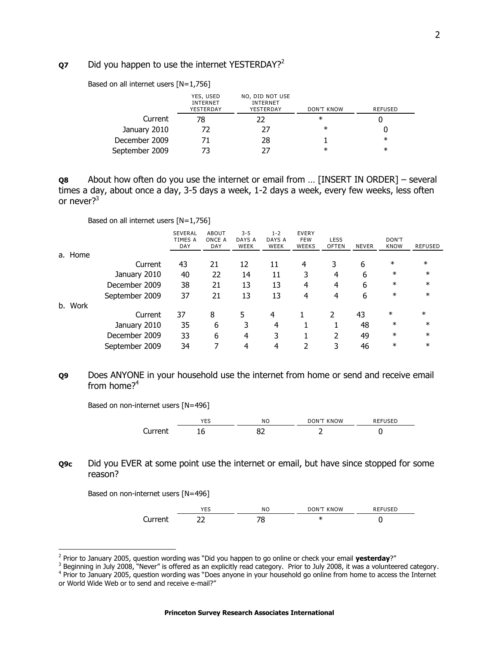### **Q7** Did you happen to use the internet YESTERDAY?<sup>2</sup>

Based on all internet users [N=1,756]

|                | YES, USED<br><b>INTERNET</b><br>YESTERDAY | NO, DID NOT USE<br><b>INTERNET</b><br>YESTERDAY | <b>DON'T KNOW</b> | <b>REFUSED</b> |
|----------------|-------------------------------------------|-------------------------------------------------|-------------------|----------------|
| Current        | 78                                        | 22                                              | $\ast$            |                |
| January 2010   |                                           | 27                                              | $\ast$            |                |
| December 2009  |                                           | 28                                              |                   | $\ast$         |
| September 2009 |                                           | 77                                              | $\ast$            | $\ast$         |

**Q8** About how often do you use the internet or email from … [INSERT IN ORDER] – several times a day, about once a day, 3-5 days a week, 1-2 days a week, every few weeks, less often or never $2^3$ 

Based on all internet users [N=1,756]

|         |                | <b>SEVERAL</b><br>TIMES A<br>DAY | <b>ABOUT</b><br>ONCE A<br>DAY | $3 - 5$<br>DAYS A<br>WEEK | $1 - 2$<br>DAYS A<br>WEEK | <b>EVERY</b><br><b>FEW</b><br><b>WEEKS</b> | <b>LESS</b><br><b>OFTEN</b> | <b>NEVER</b> | DON'T<br><b>KNOW</b> | <b>REFUSED</b> |
|---------|----------------|----------------------------------|-------------------------------|---------------------------|---------------------------|--------------------------------------------|-----------------------------|--------------|----------------------|----------------|
| a. Home |                |                                  |                               |                           |                           |                                            |                             |              |                      |                |
|         | Current        | 43                               | 21                            | 12                        | 11                        | 4                                          | 3                           | 6            | $\ast$               | $\ast$         |
|         | January 2010   | 40                               | 22                            | 14                        | 11                        | 3                                          | 4                           | 6            | $\ast$               | $\ast$         |
|         | December 2009  | 38                               | 21                            | 13                        | 13                        | 4                                          | 4                           | 6            | $\ast$               | $\ast$         |
|         | September 2009 | 37                               | 21                            | 13                        | 13                        | 4                                          | 4                           | 6            | $\ast$               | $\ast$         |
| b. Work |                |                                  |                               |                           |                           |                                            |                             |              |                      |                |
|         | Current        | 37                               | 8                             | 5                         | 4                         |                                            |                             | 43           | $\ast$               | $\ast$         |
|         | January 2010   | 35                               | 6                             | 3                         | 4                         |                                            |                             | 48           | $\ast$               | $\ast$         |
|         | December 2009  | 33                               | 6                             | 4                         | 3                         |                                            | 2                           | 49           | $\ast$               | $\ast$         |
|         | September 2009 | 34                               | ⇁                             | 4                         | 4                         | 2                                          | 3                           | 46           | $\ast$               | $\ast$         |
|         |                |                                  |                               |                           |                           |                                            |                             |              |                      |                |

#### **Q9** Does ANYONE in your household use the internet from home or send and receive email from home? $4$

Based on non-internet users [N=496]



## **Q9c** Did you EVER at some point use the internet or email, but have since stopped for some reason?

Based on non-internet users [N=496]



 2 Prior to January 2005, question wording was "Did you happen to go online or check your email **yesterday**?"

<sup>&</sup>lt;sup>3</sup> Beginning in July 2008, "Never" is offered as an explicitly read category. Prior to July 2008, it was a volunteered category.

<sup>&</sup>lt;sup>4</sup> Prior to January 2005, question wording was "Does anyone in your household go online from home to access the Internet or World Wide Web or to send and receive e-mail?"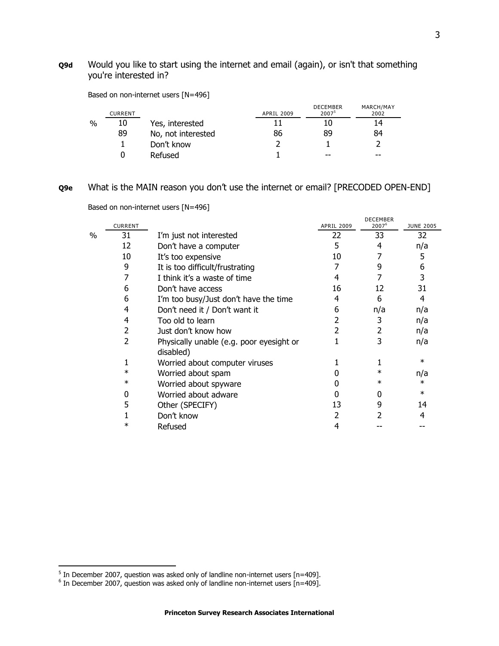# **Q9d** Would you like to start using the internet and email (again), or isn't that something you're interested in?

|      | <b>CURRENT</b> |                    | <b>APRIL 2009</b> | <b>DECEMBER</b><br>2007 <sup>5</sup> | MARCH/MAY<br>2002 |
|------|----------------|--------------------|-------------------|--------------------------------------|-------------------|
| $\%$ | 10             | Yes, interested    |                   |                                      | 14                |
|      | 89             | No, not interested | 86                | 89                                   | 84                |
|      |                | Don't know         |                   |                                      |                   |
|      |                | Refused            |                   | $- -$                                | $- -$             |

Based on non-internet users [N=496]

#### **Q9e** What is the MAIN reason you don't use the internet or email? [PRECODED OPEN-END]

|      | <b>CURRENT</b> |                                                       | <b>APRIL 2009</b> | <b>DECEMBER</b><br>2007 <sup>6</sup> | <b>JUNE 2005</b> |
|------|----------------|-------------------------------------------------------|-------------------|--------------------------------------|------------------|
| $\%$ | 31             | I'm just not interested                               | 22                | 33                                   | 32               |
|      |                |                                                       |                   |                                      |                  |
|      | 12             | Don't have a computer                                 | 5                 | 4                                    | n/a              |
|      | 10             | It's too expensive                                    | 10                | 7                                    | 5                |
|      | 9              | It is too difficult/frustrating                       |                   | 9                                    | 6                |
|      |                | I think it's a waste of time                          | 4                 |                                      | 3                |
|      | 6              | Don't have access                                     | 16                | 12                                   | 31               |
|      | 6              | I'm too busy/Just don't have the time                 | 4                 | 6                                    | 4                |
|      | 4              | Don't need it / Don't want it                         | 6                 | n/a                                  | n/a              |
|      | 4              | Too old to learn                                      | 2                 | 3                                    | n/a              |
|      | 2              | Just don't know how                                   |                   | 2                                    | n/a              |
|      | 2              | Physically unable (e.g. poor eyesight or<br>disabled) |                   | 3                                    | n/a              |
|      |                | Worried about computer viruses                        |                   |                                      | $\ast$           |
|      | $\ast$         | Worried about spam                                    |                   | $\ast$                               | n/a              |
|      | $\ast$         | Worried about spyware                                 |                   | $\ast$                               | $\ast$           |
|      | 0              | Worried about adware                                  |                   |                                      | $\ast$           |
|      | 5              | Other (SPECIFY)                                       | 13                | 9                                    | 14               |
|      |                | Don't know                                            | 2                 |                                      | 4                |
|      |                | Refused                                               | 4                 |                                      |                  |

Based on non-internet users [N=496]

<sup>–&</sup>lt;br><sup>5</sup> In December 2007, question was asked only of landline non-internet users [n=409].<br><sup>6</sup> In December 2007, question was asked only of landline non-internet users [n=409].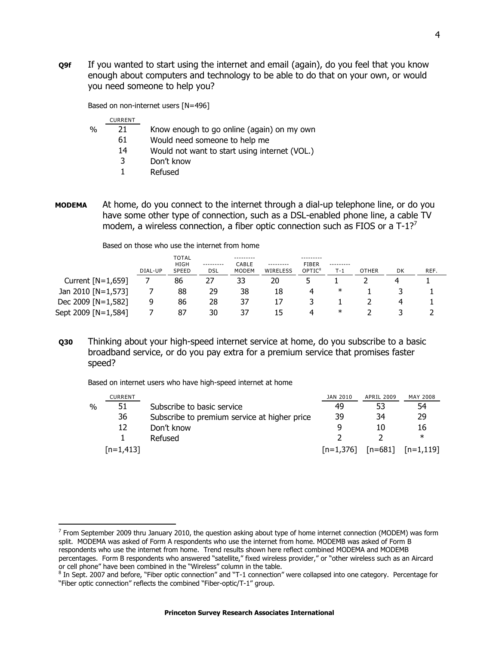**Q9f** If you wanted to start using the internet and email (again), do you feel that you know enough about computers and technology to be able to do that on your own, or would you need someone to help you?

Based on non-internet users [N=496]

|               | <b>CURRENT</b> |                                               |
|---------------|----------------|-----------------------------------------------|
| $\frac{0}{0}$ | 21             | Know enough to go online (again) on my own    |
|               | 61             | Would need someone to help me                 |
|               | 14             | Would not want to start using internet (VOL.) |
|               | 3              | Don't know                                    |
|               |                | Refused                                       |

**MODEMA** At home, do you connect to the internet through a dial-up telephone line, or do you have some other type of connection, such as a DSL-enabled phone line, a cable TV modem, a wireless connection, a fiber optic connection such as FIOS or a  $T-1$ ?<sup>7</sup>

|                     | DIAL-UP | TOTAL<br><b>HIGH</b><br>SPEED | ---------<br>DSL | ---------<br>CABLE<br><b>MODEM</b> | ---------<br>WIRELESS | ---------<br><b>FIBER</b><br>OPTIC <sup>8</sup> | ---------<br>$T-1$ | <b>OTHER</b> | DK | REF. |
|---------------------|---------|-------------------------------|------------------|------------------------------------|-----------------------|-------------------------------------------------|--------------------|--------------|----|------|
| Current $[N=1,659]$ |         | 86                            | 27               | 33                                 | 20                    |                                                 |                    |              |    |      |
| Jan 2010 [N=1,573]  |         | 88                            | 29               | 38                                 | 18                    |                                                 | ∗                  |              |    |      |
| Dec 2009 [N=1,582]  | 9       | 86                            | 28               | 37                                 |                       |                                                 |                    |              |    |      |
| Sept 2009 [N=1,584] |         | 87                            | 30               | 37                                 | 15                    | 4                                               | $\ast$             |              |    |      |

Based on those who use the internet from home

**Q30** Thinking about your high-speed internet service at home, do you subscribe to a basic broadband service, or do you pay extra for a premium service that promises faster speed?

Based on internet users who have high-speed internet at home

j

|      | <b>CURRENT</b> |                                              | JAN 2010    | APRIL 2009 | <b>MAY 2008</b>       |
|------|----------------|----------------------------------------------|-------------|------------|-----------------------|
| $\%$ | 51             | Subscribe to basic service                   | 49          | 53         | 54                    |
|      | 36             | Subscribe to premium service at higher price | 39          | 34         | 29                    |
|      | 12             | Don't know                                   |             | 10         | 16                    |
|      |                | Refused                                      |             |            | ∗                     |
|      | $[n=1,413]$    |                                              | $[n=1,376]$ |            | $[n=681]$ $[n=1,119]$ |

<sup>&</sup>lt;sup>7</sup> From September 2009 thru January 2010, the question asking about type of home internet connection (MODEM) was form split. MODEMA was asked of Form A respondents who use the internet from home. MODEMB was asked of Form B respondents who use the internet from home. Trend results shown here reflect combined MODEMA and MODEMB percentages. Form B respondents who answered "satellite," fixed wireless provider," or "other wireless such as an Aircard or cell phone" have been combined in the "Wireless" column in the table.

<sup>&</sup>lt;sup>8</sup> In Sept. 2007 and before, "Fiber optic connection" and "T-1 connection" were collapsed into one category. Percentage for "Fiber optic connection" reflects the combined "Fiber-optic/T-1" group.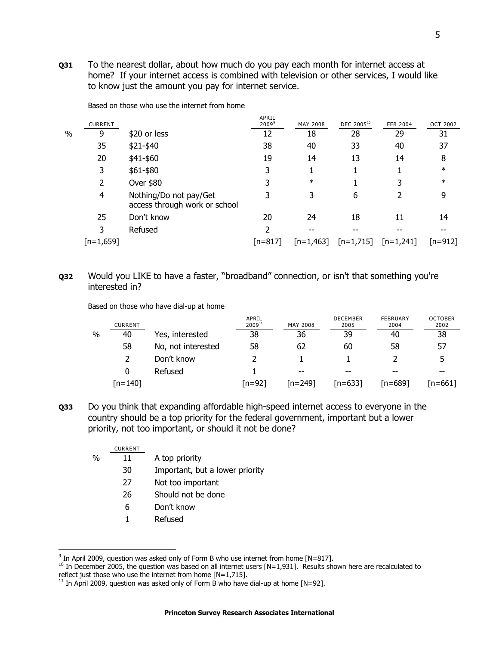**Q31** To the nearest dollar, about how much do you pay each month for internet access at home? If your internet access is combined with television or other services, I would like to know just the amount you pay for internet service.

|   |                |                                                         | APRIL             |             |                        |                 |                 |
|---|----------------|---------------------------------------------------------|-------------------|-------------|------------------------|-----------------|-----------------|
|   | <b>CURRENT</b> |                                                         | 2009 <sup>9</sup> | MAY 2008    | DEC 2005 <sup>10</sup> | <b>FEB 2004</b> | <b>OCT 2002</b> |
| % | 9              | \$20 or less                                            | 12                | 18          | 28                     | 29              | 31              |
|   | 35             | \$21-\$40                                               | 38                | 40          | 33                     | 40              | 37              |
|   | 20             | \$41-\$60                                               | 19                | 14          | 13                     | 14              | 8               |
|   | 3              | \$61-\$80                                               | 3                 | 1           |                        |                 | $\ast$          |
|   | 2              | Over \$80                                               | 3                 | $\ast$      |                        | 3               | $\ast$          |
|   | 4              | Nothing/Do not pay/Get<br>access through work or school | 3                 | 3           | 6                      |                 | 9               |
|   | 25             | Don't know                                              | 20                | 24          | 18                     | 11              | 14              |
|   | 3              | Refused                                                 | 2                 |             |                        |                 |                 |
|   | $[n=1,659]$    |                                                         | $[n=817]$         | $[n=1,463]$ | $[n=1,715]$            | $[n=1,241]$     | $[n=912]$       |

Based on those who use the internet from home

## **Q32** Would you LIKE to have a faster, "broadband" connection, or isn't that something you're interested in?

Based on those who have dial-up at home

|   | <b>CURRENT</b> |                    | APRIL<br>$2009^{11}$ | <b>MAY 2008</b> | <b>DECEMBER</b><br>2005 | FEBRUARY<br>2004 | <b>OCTOBER</b><br>2002 |
|---|----------------|--------------------|----------------------|-----------------|-------------------------|------------------|------------------------|
| % | 40             | Yes, interested    | 38                   | 36              | 39                      | 40               | 38                     |
|   | 58             | No, not interested | 58                   | 62              | 60                      | 58               | 57                     |
|   |                | Don't know         |                      |                 |                         |                  |                        |
|   | 0              | Refused            |                      | $- -$           | $- -$                   | $- -$            | --                     |
|   | $[n=140]$      |                    | rn=921               | [n=249]         | [n=633]                 | $[n=689]$        | [n=661]                |

**Q33** Do you think that expanding affordable high-speed internet access to everyone in the country should be a top priority for the federal government, important but a lower priority, not too important, or should it not be done?

|      | <b>CURRENT</b> |                                 |
|------|----------------|---------------------------------|
| $\%$ | 11             | A top priority                  |
|      | 30             | Important, but a lower priority |
|      | 27             | Not too important               |
|      | 26             | Should not be done              |
|      | 6              | Don't know                      |
|      |                | Refused                         |

-

 $9$  In April 2009, question was asked only of Form B who use internet from home [N=817].

 $10$  In December 2005, the question was based on all internet users [N=1,931]. Results shown here are recalculated to reflect just those who use the internet from home [N=1,715].

 $11$  In April 2009, question was asked only of Form B who have dial-up at home [N=92].